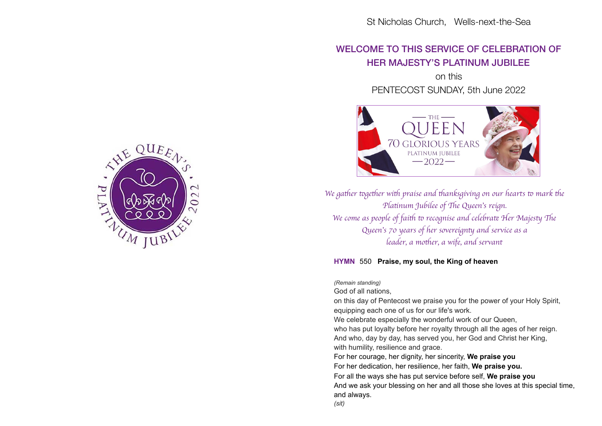# WELCOME TO THIS SERVICE OF CELEBRATION OF HER MAJESTY'S PLATINUM JUBILEE

on this PENTECOST SUNDAY, 5th June 2022



*We gather together with praise and thanksgiving on our hearts to mark the Platinum Jubilee of The Queen's reign. We come as people of faith to recognise and celebrate Her Majesty The Queen's 70 years of her sovereignty and service as a leader, a mother, a wife, and servant* 

## **HYMN** 550 **Praise, my soul, the King of heaven**

*(Remain standing)* 

God of all nations,

on this day of Pentecost we praise you for the power of your Holy Spirit, equipping each one of us for our life's work.

We celebrate especially the wonderful work of our Queen,

who has put loyalty before her royalty through all the ages of her reign. And who, day by day, has served you, her God and Christ her King, with humility, resilience and grace.

For her courage, her dignity, her sincerity, **We praise you**

For her dedication, her resilience, her faith, **We praise you.**

For all the ways she has put service before self, **We praise you** And we ask your blessing on her and all those she loves at this special time, and always.

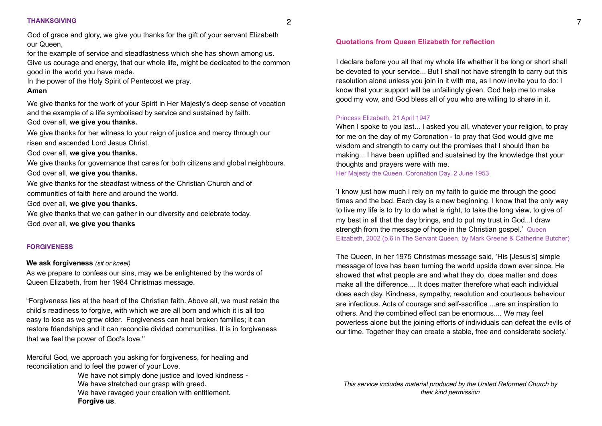#### **THANKSGIVING**

God of grace and glory, we give you thanks for the gift of your servant Elizabeth our Queen,

for the example of service and steadfastness which she has shown among us.

Give us courage and energy, that our whole life, might be dedicated to the common good in the world you have made.

In the power of the Holy Spirit of Pentecost we pray,

### **Amen**

We give thanks for the work of your Spirit in Her Majesty's deep sense of vocation and the example of a life symbolised by service and sustained by faith. God over all, **we give you thanks.** 

We give thanks for her witness to your reign of justice and mercy through our risen and ascended Lord Jesus Christ.

God over all, **we give you thanks.** 

We give thanks for governance that cares for both citizens and global neighbours. God over all, **we give you thanks.** 

We give thanks for the steadfast witness of the Christian Church and of communities of faith here and around the world.

# God over all, **we give you thanks.**

We give thanks that we can gather in our diversity and celebrate today.

God over all, **we give you thanks**

# **FORGIVENESS**

# **We ask forgiveness** *(sit or kneel)*

As we prepare to confess our sins, may we be enlightened by the words of Queen Elizabeth, from her 1984 Christmas message.

"Forgiveness lies at the heart of the Christian faith. Above all, we must retain the child's readiness to forgive, with which we are all born and which it is all too easy to lose as we grow older. Forgiveness can heal broken families; it can restore friendships and it can reconcile divided communities. It is in forgiveness that we feel the power of God's love.''

Merciful God, we approach you asking for forgiveness, for healing and reconciliation and to feel the power of your Love.

> We have not simply done justice and loved kindness - We have stretched our grasp with greed. We have ravaged your creation with entitlement. **Forgive us**.

I declare before you all that my whole life whether it be long or short shall be devoted to your service... But I shall not have strength to carry out this resolution alone unless you join in it with me, as I now invite you to do: I know that your support will be unfailingly given. God help me to make good my vow, and God bless all of you who are willing to share in it.

## Princess Elizabeth, 21 April 1947

When I spoke to you last... I asked you all, whatever your religion, to pray for me on the day of my Coronation - to pray that God would give me wisdom and strength to carry out the promises that I should then be making... I have been uplifted and sustained by the knowledge that your thoughts and prayers were with me.

Her Majesty the Queen, Coronation Day, 2 June 1953

'I know just how much I rely on my faith to guide me through the good times and the bad. Each day is a new beginning. I know that the only way to live my life is to try to do what is right, to take the long view, to give of my best in all that the day brings, and to put my trust in God...I draw strength from the message of hope in the Christian gospel.' Queen Elizabeth, 2002 (p.6 in The Servant Queen, by Mark Greene & Catherine Butcher)

The Queen, in her 1975 Christmas message said, 'His [Jesus's] simple message of love has been turning the world upside down ever since. He showed that what people are and what they do, does matter and does make all the difference.... It does matter therefore what each individual does each day. Kindness, sympathy, resolution and courteous behaviour are infectious. Acts of courage and self-sacrifice ...are an inspiration to others. And the combined effect can be enormous.... We may feel powerless alone but the joining efforts of individuals can defeat the evils of our time. Together they can create a stable, free and considerate society.'

*This service includes material produced by the United Reformed Church by their kind permission*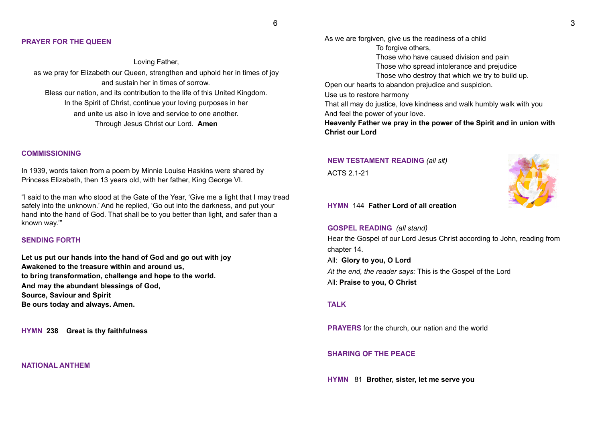#### **PRAYER FOR THE QUEEN**

Loving Father, as we pray for Elizabeth our Queen, strengthen and uphold her in times of joy and sustain her in times of sorrow. Bless our nation, and its contribution to the life of this United Kingdom. In the Spirit of Christ, continue your loving purposes in her and unite us also in love and service to one another. Through Jesus Christ our Lord. **Amen** 

#### **COMMISSIONING**

In 1939, words taken from a poem by Minnie Louise Haskins were shared by Princess Elizabeth, then 13 years old, with her father, King George VI.

"I said to the man who stood at the Gate of the Year, 'Give me a light that I may tread safely into the unknown.' And he replied, 'Go out into the darkness, and put your hand into the hand of God. That shall be to you better than light, and safer than a known way.'"

#### **SENDING FORTH**

**Let us put our hands into the hand of God and go out with joy Awakened to the treasure within and around us, to bring transformation, challenge and hope to the world. And may the abundant blessings of God, Source, Saviour and Spirit Be ours today and always. Amen.** 

**HYMN 238 Great is thy faithfulness** 

#### **NATIONAL ANTHEM**

As we are forgiven, give us the readiness of a child To forgive others, Those who have caused division and pain Those who spread intolerance and prejudice Those who destroy that which we try to build up. Open our hearts to abandon prejudice and suspicion. Use us to restore harmony That all may do justice, love kindness and walk humbly walk with you And feel the power of your love. **Heavenly Father we pray in the power of the Spirit and in union with Christ our Lord** 

# **NEW TESTAMENT READING** *(all sit)* ACTS 2.1-21



**HYMN** 144 **Father Lord of all creation** 

**GOSPEL READING** *(all stand)*  Hear the Gospel of our Lord Jesus Christ according to John, reading from chapter 14. All: **Glory to you, O Lord**  *At the end, the reader says:* This is the Gospel of the Lord All: **Praise to you, O Christ** 

#### **TALK**

**PRAYERS** for the church, our nation and the world

#### **SHARING OF THE PEACE**

**HYMN** 81 **Brother, sister, let me serve you**